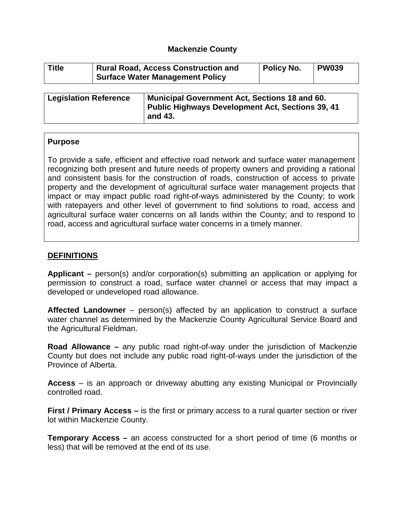#### **Mackenzie County**

| <b>Title</b> | <b>Rural Road, Access Construction and</b><br><b>Surface Water Management Policy</b> |     |  | <b>Policy No.</b> | <b>PW039</b> |  |  |  |
|--------------|--------------------------------------------------------------------------------------|-----|--|-------------------|--------------|--|--|--|
|              |                                                                                      | . . |  |                   | .            |  |  |  |

| Municipal Government Act, Sections 18 and 60.    |
|--------------------------------------------------|
| Public Highways Development Act, Sections 39, 41 |
| and 43.                                          |
|                                                  |

#### **Purpose**

To provide a safe, efficient and effective road network and surface water management recognizing both present and future needs of property owners and providing a rational and consistent basis for the construction of roads, construction of access to private property and the development of agricultural surface water management projects that impact or may impact public road right-of-ways administered by the County; to work with ratepayers and other level of government to find solutions to road, access and agricultural surface water concerns on all lands within the County; and to respond to road, access and agricultural surface water concerns in a timely manner.

### **DEFINITIONS**

**Applicant –** person(s) and/or corporation(s) submitting an application or applying for permission to construct a road, surface water channel or access that may impact a developed or undeveloped road allowance.

**Affected Landowner** – person(s) affected by an application to construct a surface water channel as determined by the Mackenzie County Agricultural Service Board and the Agricultural Fieldman.

**Road Allowance –** any public road right-of-way under the jurisdiction of Mackenzie County but does not include any public road right-of-ways under the jurisdiction of the Province of Alberta.

**Access** – is an approach or driveway abutting any existing Municipal or Provincially controlled road.

**First / Primary Access –** is the first or primary access to a rural quarter section or river lot within Mackenzie County.

**Temporary Access –** an access constructed for a short period of time (6 months or less) that will be removed at the end of its use.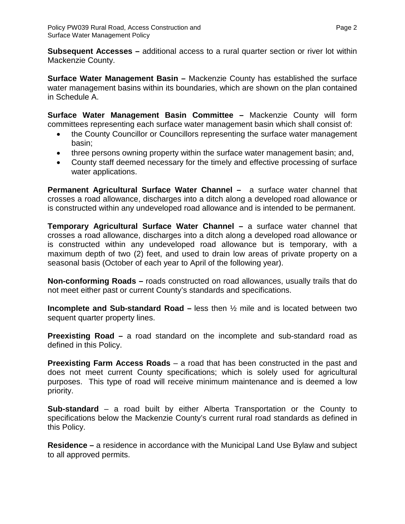**Subsequent Accesses –** additional access to a rural quarter section or river lot within Mackenzie County.

**Surface Water Management Basin –** Mackenzie County has established the surface water management basins within its boundaries, which are shown on the plan contained in Schedule A.

**Surface Water Management Basin Committee –** Mackenzie County will form committees representing each surface water management basin which shall consist of:

- the County Councillor or Councillors representing the surface water management basin;
- three persons owning property within the surface water management basin; and,
- County staff deemed necessary for the timely and effective processing of surface water applications.

**Permanent Agricultural Surface Water Channel –** a surface water channel that crosses a road allowance, discharges into a ditch along a developed road allowance or is constructed within any undeveloped road allowance and is intended to be permanent.

**Temporary Agricultural Surface Water Channel –** a surface water channel that crosses a road allowance, discharges into a ditch along a developed road allowance or is constructed within any undeveloped road allowance but is temporary, with a maximum depth of two (2) feet, and used to drain low areas of private property on a seasonal basis (October of each year to April of the following year).

**Non-conforming Roads –** roads constructed on road allowances, usually trails that do not meet either past or current County's standards and specifications.

**Incomplete and Sub-standard Road –** less then ½ mile and is located between two sequent quarter property lines.

**Preexisting Road –** a road standard on the incomplete and sub-standard road as defined in this Policy.

**Preexisting Farm Access Roads** – a road that has been constructed in the past and does not meet current County specifications; which is solely used for agricultural purposes. This type of road will receive minimum maintenance and is deemed a low priority.

**Sub-standard** – a road built by either Alberta Transportation or the County to specifications below the Mackenzie County's current rural road standards as defined in this Policy.

**Residence –** a residence in accordance with the Municipal Land Use Bylaw and subject to all approved permits.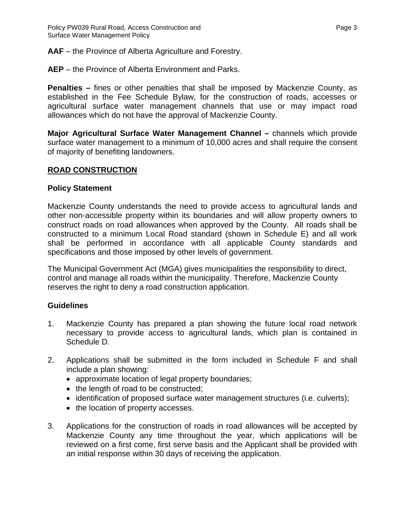**AAF** – the Province of Alberta Agriculture and Forestry.

**AEP** – the Province of Alberta Environment and Parks.

**Penalties –** fines or other penalties that shall be imposed by Mackenzie County, as established in the Fee Schedule Bylaw, for the construction of roads, accesses or agricultural surface water management channels that use or may impact road allowances which do not have the approval of Mackenzie County.

**Major Agricultural Surface Water Management Channel –** channels which provide surface water management to a minimum of 10,000 acres and shall require the consent of majority of benefiting landowners.

#### **ROAD CONSTRUCTION**

#### **Policy Statement**

Mackenzie County understands the need to provide access to agricultural lands and other non-accessible property within its boundaries and will allow property owners to construct roads on road allowances when approved by the County. All roads shall be constructed to a minimum Local Road standard (shown in Schedule E) and all work shall be performed in accordance with all applicable County standards and specifications and those imposed by other levels of government.

The Municipal Government Act (MGA) gives municipalities the responsibility to direct, control and manage all roads within the municipality. Therefore, Mackenzie County reserves the right to deny a road construction application.

### **Guidelines**

- 1. Mackenzie County has prepared a plan showing the future local road network necessary to provide access to agricultural lands, which plan is contained in Schedule D.
- 2. Applications shall be submitted in the form included in Schedule F and shall include a plan showing:
	- approximate location of legal property boundaries;
	- the length of road to be constructed;
	- identification of proposed surface water management structures (i.e. culverts);
	- the location of property accesses.
- 3. Applications for the construction of roads in road allowances will be accepted by Mackenzie County any time throughout the year, which applications will be reviewed on a first come, first serve basis and the Applicant shall be provided with an initial response within 30 days of receiving the application.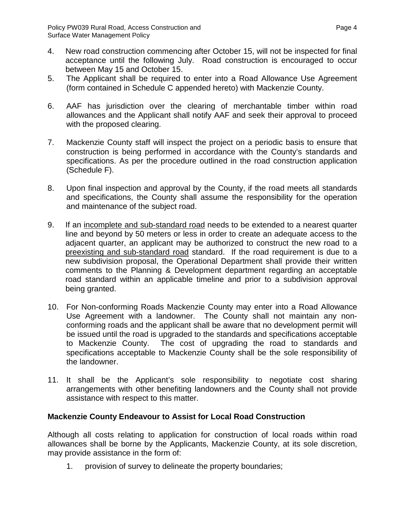- 4. New road construction commencing after October 15, will not be inspected for final acceptance until the following July. Road construction is encouraged to occur between May 15 and October 15.
- 5. The Applicant shall be required to enter into a Road Allowance Use Agreement (form contained in Schedule C appended hereto) with Mackenzie County.
- 6. AAF has jurisdiction over the clearing of merchantable timber within road allowances and the Applicant shall notify AAF and seek their approval to proceed with the proposed clearing.
- 7. Mackenzie County staff will inspect the project on a periodic basis to ensure that construction is being performed in accordance with the County's standards and specifications. As per the procedure outlined in the road construction application (Schedule F).
- 8. Upon final inspection and approval by the County, if the road meets all standards and specifications, the County shall assume the responsibility for the operation and maintenance of the subject road.
- 9. If an incomplete and sub-standard road needs to be extended to a nearest quarter line and beyond by 50 meters or less in order to create an adequate access to the adjacent quarter, an applicant may be authorized to construct the new road to a preexisting and sub-standard road standard. If the road requirement is due to a new subdivision proposal, the Operational Department shall provide their written comments to the Planning & Development department regarding an acceptable road standard within an applicable timeline and prior to a subdivision approval being granted.
- 10. For Non-conforming Roads Mackenzie County may enter into a Road Allowance Use Agreement with a landowner. The County shall not maintain any nonconforming roads and the applicant shall be aware that no development permit will be issued until the road is upgraded to the standards and specifications acceptable to Mackenzie County. The cost of upgrading the road to standards and specifications acceptable to Mackenzie County shall be the sole responsibility of the landowner.
- 11. It shall be the Applicant's sole responsibility to negotiate cost sharing arrangements with other benefiting landowners and the County shall not provide assistance with respect to this matter.

### **Mackenzie County Endeavour to Assist for Local Road Construction**

Although all costs relating to application for construction of local roads within road allowances shall be borne by the Applicants, Mackenzie County, at its sole discretion, may provide assistance in the form of:

1. provision of survey to delineate the property boundaries;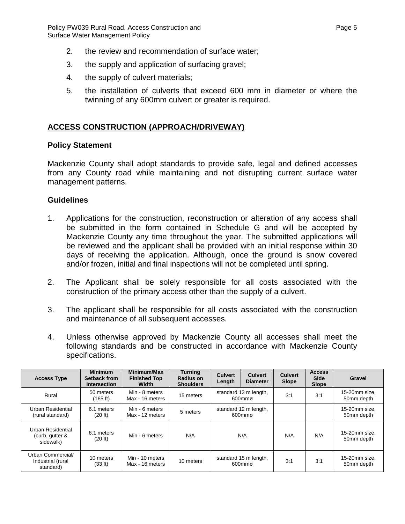- 2. the review and recommendation of surface water;
- 3. the supply and application of surfacing gravel;
- 4. the supply of culvert materials;
- 5. the installation of culverts that exceed 600 mm in diameter or where the twinning of any 600mm culvert or greater is required.

### **ACCESS CONSTRUCTION (APPROACH/DRIVEWAY)**

#### **Policy Statement**

Mackenzie County shall adopt standards to provide safe, legal and defined accesses from any County road while maintaining and not disrupting current surface water management patterns.

#### **Guidelines**

- 1. Applications for the construction, reconstruction or alteration of any access shall be submitted in the form contained in Schedule G and will be accepted by Mackenzie County any time throughout the year. The submitted applications will be reviewed and the applicant shall be provided with an initial response within 30 days of receiving the application. Although, once the ground is snow covered and/or frozen, initial and final inspections will not be completed until spring.
- 2. The Applicant shall be solely responsible for all costs associated with the construction of the primary access other than the supply of a culvert.
- 3. The applicant shall be responsible for all costs associated with the construction and maintenance of all subsequent accesses.
- 4. Unless otherwise approved by Mackenzie County all accesses shall meet the following standards and be constructed in accordance with Mackenzie County specifications.

| <b>Access Type</b>                                  | <b>Minimum</b><br>Setback from<br>Intersection | Minimum/Max<br><b>Finished Top</b><br>Width | <b>Turning</b><br>Radius on<br><b>Shoulders</b> | <b>Culvert</b><br>Length | <b>Culvert</b><br><b>Diameter</b> | <b>Culvert</b><br>Slope | <b>Access</b><br><b>Side</b><br><b>Slope</b> | Gravel                      |
|-----------------------------------------------------|------------------------------------------------|---------------------------------------------|-------------------------------------------------|--------------------------|-----------------------------------|-------------------------|----------------------------------------------|-----------------------------|
| Rural                                               | 50 meters<br>(165 ft)                          | Min - 8 meters<br>Max - 16 meters           | 15 meters                                       |                          | standard 13 m length,<br>600mmø   | 3:1                     | 3:1                                          | 15-20mm size.<br>50mm depth |
| Urban Residential<br>(rural standard)               | 6.1 meters<br>(20 ft)                          | Min - 6 meters<br>Max - 12 meters           | 5 meters                                        |                          | standard 12 m length,<br>600mmø   |                         |                                              | 15-20mm size.<br>50mm depth |
| Urban Residential<br>(curb, gutter &<br>sidewalk)   | 6.1 meters<br>(20 ft)                          | Min - 6 meters                              | N/A                                             |                          | N/A                               | N/A                     | N/A                                          | 15-20mm size.<br>50mm depth |
| Urban Commercial/<br>Industrial (rural<br>standard) | 10 meters<br>(33 ft)                           | Min - 10 meters<br>Max - 16 meters          | 10 meters                                       |                          | standard 15 m length,<br>600mmø   | 3:1                     | 3:1                                          | 15-20mm size,<br>50mm depth |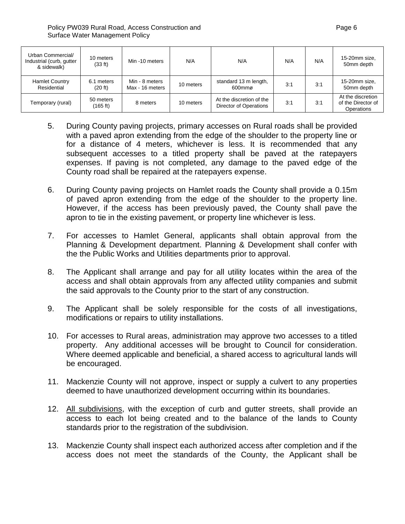| Urban Commercial/<br>Industrial (curb, gutter<br>& sidewalk) | 10 meters<br>(33 ft)  | Min -10 meters                    | N/A       | N/A                                                | N/A | N/A | 15-20mm size,<br>50mm depth                           |
|--------------------------------------------------------------|-----------------------|-----------------------------------|-----------|----------------------------------------------------|-----|-----|-------------------------------------------------------|
| <b>Hamlet Country</b><br>Residential                         | 6.1 meters<br>(20 ft) | Min - 8 meters<br>Max - 16 meters | 10 meters | standard 13 m length,<br>600mmø                    | 3:1 | 3:1 | 15-20mm size,<br>50mm depth                           |
| Temporary (rural)                                            | 50 meters<br>(165 ft) | 8 meters                          | 10 meters | At the discretion of the<br>Director of Operations | 3:1 | 3:1 | At the discretion<br>of the Director of<br>Operations |

- 5. During County paving projects, primary accesses on Rural roads shall be provided with a paved apron extending from the edge of the shoulder to the property line or for a distance of 4 meters, whichever is less. It is recommended that any subsequent accesses to a titled property shall be paved at the ratepayers expenses. If paving is not completed, any damage to the paved edge of the County road shall be repaired at the ratepayers expense.
- 6. During County paving projects on Hamlet roads the County shall provide a 0.15m of paved apron extending from the edge of the shoulder to the property line. However, if the access has been previously paved, the County shall pave the apron to tie in the existing pavement, or property line whichever is less.
- 7. For accesses to Hamlet General, applicants shall obtain approval from the Planning & Development department. Planning & Development shall confer with the the Public Works and Utilities departments prior to approval.
- 8. The Applicant shall arrange and pay for all utility locates within the area of the access and shall obtain approvals from any affected utility companies and submit the said approvals to the County prior to the start of any construction.
- 9. The Applicant shall be solely responsible for the costs of all investigations, modifications or repairs to utility installations.
- 10. For accesses to Rural areas, administration may approve two accesses to a titled property. Any additional accesses will be brought to Council for consideration. Where deemed applicable and beneficial, a shared access to agricultural lands will be encouraged.
- 11. Mackenzie County will not approve, inspect or supply a culvert to any properties deemed to have unauthorized development occurring within its boundaries.
- 12. All subdivisions, with the exception of curb and gutter streets, shall provide an access to each lot being created and to the balance of the lands to County standards prior to the registration of the subdivision.
- 13. Mackenzie County shall inspect each authorized access after completion and if the access does not meet the standards of the County, the Applicant shall be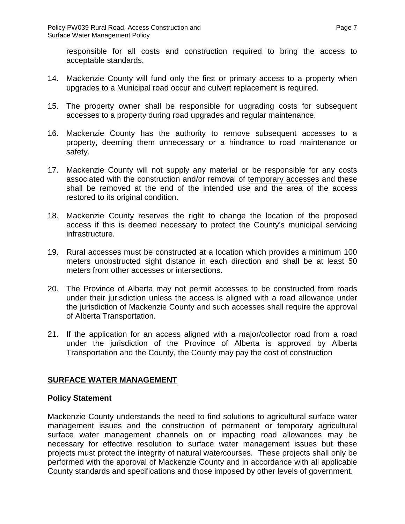responsible for all costs and construction required to bring the access to acceptable standards.

- 14. Mackenzie County will fund only the first or primary access to a property when upgrades to a Municipal road occur and culvert replacement is required.
- 15. The property owner shall be responsible for upgrading costs for subsequent accesses to a property during road upgrades and regular maintenance.
- 16. Mackenzie County has the authority to remove subsequent accesses to a property, deeming them unnecessary or a hindrance to road maintenance or safety.
- 17. Mackenzie County will not supply any material or be responsible for any costs associated with the construction and/or removal of temporary accesses and these shall be removed at the end of the intended use and the area of the access restored to its original condition.
- 18. Mackenzie County reserves the right to change the location of the proposed access if this is deemed necessary to protect the County's municipal servicing infrastructure.
- 19. Rural accesses must be constructed at a location which provides a minimum 100 meters unobstructed sight distance in each direction and shall be at least 50 meters from other accesses or intersections.
- 20. The Province of Alberta may not permit accesses to be constructed from roads under their jurisdiction unless the access is aligned with a road allowance under the jurisdiction of Mackenzie County and such accesses shall require the approval of Alberta Transportation.
- 21. If the application for an access aligned with a major/collector road from a road under the jurisdiction of the Province of Alberta is approved by Alberta Transportation and the County, the County may pay the cost of construction

### **SURFACE WATER MANAGEMENT**

### **Policy Statement**

Mackenzie County understands the need to find solutions to agricultural surface water management issues and the construction of permanent or temporary agricultural surface water management channels on or impacting road allowances may be necessary for effective resolution to surface water management issues but these projects must protect the integrity of natural watercourses. These projects shall only be performed with the approval of Mackenzie County and in accordance with all applicable County standards and specifications and those imposed by other levels of government.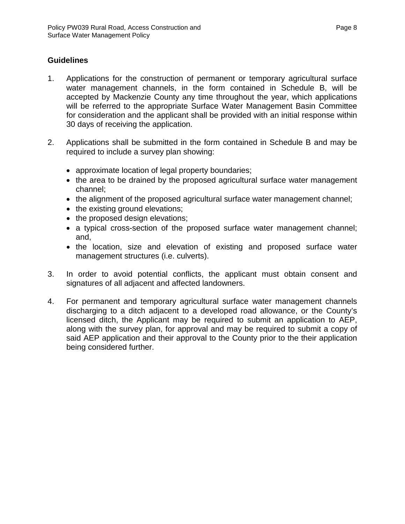### **Guidelines**

- 1. Applications for the construction of permanent or temporary agricultural surface water management channels, in the form contained in Schedule B, will be accepted by Mackenzie County any time throughout the year, which applications will be referred to the appropriate Surface Water Management Basin Committee for consideration and the applicant shall be provided with an initial response within 30 days of receiving the application.
- 2. Applications shall be submitted in the form contained in Schedule B and may be required to include a survey plan showing:
	- approximate location of legal property boundaries;
	- the area to be drained by the proposed agricultural surface water management channel;
	- the alignment of the proposed agricultural surface water management channel;
	- the existing ground elevations;
	- the proposed design elevations;
	- a typical cross-section of the proposed surface water management channel; and,
	- the location, size and elevation of existing and proposed surface water management structures (i.e. culverts).
- 3. In order to avoid potential conflicts, the applicant must obtain consent and signatures of all adjacent and affected landowners.
- 4. For permanent and temporary agricultural surface water management channels discharging to a ditch adjacent to a developed road allowance, or the County's licensed ditch, the Applicant may be required to submit an application to AEP, along with the survey plan, for approval and may be required to submit a copy of said AEP application and their approval to the County prior to the their application being considered further.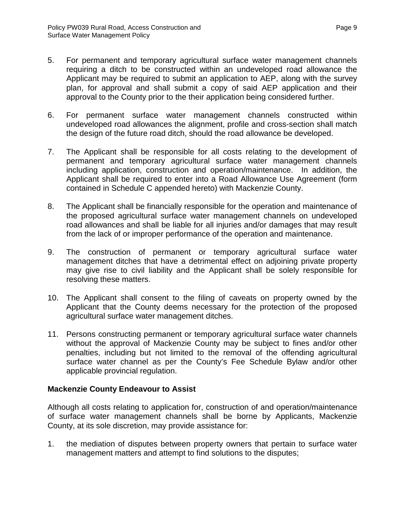- 5. For permanent and temporary agricultural surface water management channels requiring a ditch to be constructed within an undeveloped road allowance the Applicant may be required to submit an application to AEP, along with the survey plan, for approval and shall submit a copy of said AEP application and their approval to the County prior to the their application being considered further.
- 6. For permanent surface water management channels constructed within undeveloped road allowances the alignment, profile and cross-section shall match the design of the future road ditch, should the road allowance be developed.
- 7. The Applicant shall be responsible for all costs relating to the development of permanent and temporary agricultural surface water management channels including application, construction and operation/maintenance. In addition, the Applicant shall be required to enter into a Road Allowance Use Agreement (form contained in Schedule C appended hereto) with Mackenzie County.
- 8. The Applicant shall be financially responsible for the operation and maintenance of the proposed agricultural surface water management channels on undeveloped road allowances and shall be liable for all injuries and/or damages that may result from the lack of or improper performance of the operation and maintenance.
- 9. The construction of permanent or temporary agricultural surface water management ditches that have a detrimental effect on adjoining private property may give rise to civil liability and the Applicant shall be solely responsible for resolving these matters.
- 10. The Applicant shall consent to the filing of caveats on property owned by the Applicant that the County deems necessary for the protection of the proposed agricultural surface water management ditches.
- 11. Persons constructing permanent or temporary agricultural surface water channels without the approval of Mackenzie County may be subject to fines and/or other penalties, including but not limited to the removal of the offending agricultural surface water channel as per the County's Fee Schedule Bylaw and/or other applicable provincial regulation.

### **Mackenzie County Endeavour to Assist**

Although all costs relating to application for, construction of and operation/maintenance of surface water management channels shall be borne by Applicants, Mackenzie County, at its sole discretion, may provide assistance for:

1. the mediation of disputes between property owners that pertain to surface water management matters and attempt to find solutions to the disputes;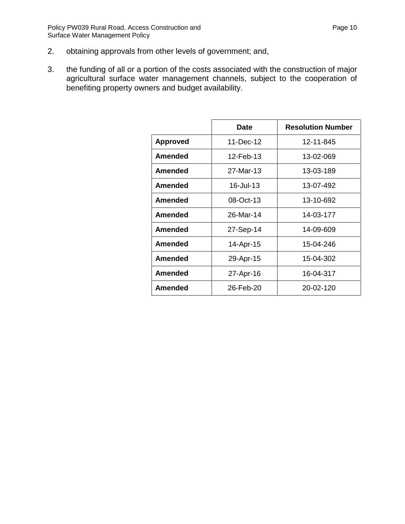- 2. obtaining approvals from other levels of government; and,
- 3. the funding of all or a portion of the costs associated with the construction of major agricultural surface water management channels, subject to the cooperation of benefiting property owners and budget availability.

|                 | <b>Date</b> | <b>Resolution Number</b> |
|-----------------|-------------|--------------------------|
| <b>Approved</b> | 11-Dec-12   | 12-11-845                |
| <b>Amended</b>  | 12-Feb-13   | 13-02-069                |
| Amended         | 27-Mar-13   | 13-03-189                |
| <b>Amended</b>  | 16-Jul-13   | 13-07-492                |
| <b>Amended</b>  | 08-Oct-13   | 13-10-692                |
| <b>Amended</b>  | 26-Mar-14   | 14-03-177                |
| Amended         | 27-Sep-14   | 14-09-609                |
| <b>Amended</b>  | 14-Apr-15   | 15-04-246                |
| Amended         | 29-Apr-15   | 15-04-302                |
| <b>Amended</b>  | 27-Apr-16   | 16-04-317                |
| Amended         | 26-Feb-20   | 20-02-120                |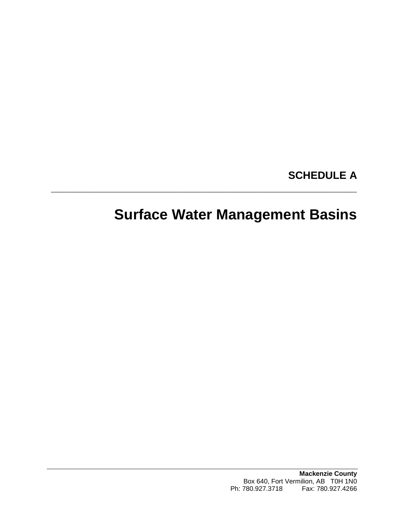# **SCHEDULE A**

# **Surface Water Management Basins**

**\_\_\_\_\_\_\_\_\_\_\_\_\_\_\_\_\_\_\_\_\_\_\_\_\_\_\_\_\_\_\_\_\_\_\_\_\_\_\_\_\_\_\_\_\_\_\_\_\_\_\_\_**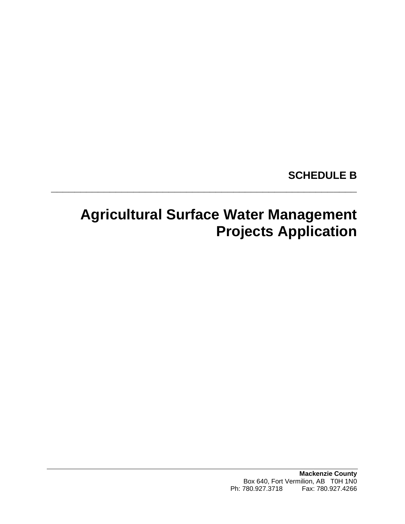# **SCHEDULE B**

# **Agricultural Surface Water Management Projects Application**

**\_\_\_\_\_\_\_\_\_\_\_\_\_\_\_\_\_\_\_\_\_\_\_\_\_\_\_\_\_\_\_\_\_\_\_\_\_\_\_\_\_\_\_\_\_\_\_\_\_\_\_\_**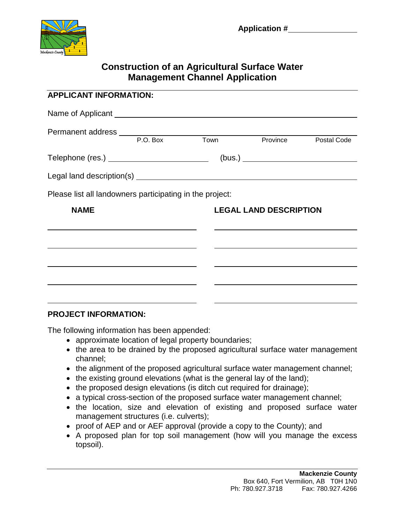

## **Construction of an Agricultural Surface Water Management Channel Application**

| <b>APPLICANT INFORMATION:</b>                                                                                         |  |                                                                                                                                                                                  |  |
|-----------------------------------------------------------------------------------------------------------------------|--|----------------------------------------------------------------------------------------------------------------------------------------------------------------------------------|--|
|                                                                                                                       |  |                                                                                                                                                                                  |  |
|                                                                                                                       |  | Province Postal Code                                                                                                                                                             |  |
| Telephone (res.) ____________________________                                                                         |  |                                                                                                                                                                                  |  |
|                                                                                                                       |  |                                                                                                                                                                                  |  |
| Please list all landowners participating in the project:                                                              |  |                                                                                                                                                                                  |  |
| <b>NAME</b>                                                                                                           |  | <b>LEGAL LAND DESCRIPTION</b>                                                                                                                                                    |  |
| <u> 1989 - Johann Harry Harry Harry Harry Harry Harry Harry Harry Harry Harry Harry Harry Harry Harry Harry Harry</u> |  | <u> 1980 - Andrea Stadt Britain, amerikansk politik (</u><br><u> Louis Communication and the communication of the communication of the communication of the communication of</u> |  |
|                                                                                                                       |  |                                                                                                                                                                                  |  |
|                                                                                                                       |  | <u> 1999 - Johann John Stone, market fan de Fryske kun fan de Fryske kun fan de Fryske kun fan de Fryske kun fan </u>                                                            |  |
|                                                                                                                       |  |                                                                                                                                                                                  |  |

### **PROJECT INFORMATION:**

The following information has been appended:

- approximate location of legal property boundaries;
- the area to be drained by the proposed agricultural surface water management channel;
- the alignment of the proposed agricultural surface water management channel;
- the existing ground elevations (what is the general lay of the land);
- the proposed design elevations (is ditch cut required for drainage);
- a typical cross-section of the proposed surface water management channel;
- the location, size and elevation of existing and proposed surface water management structures (i.e. culverts);
- proof of AEP and or AEF approval (provide a copy to the County); and
- A proposed plan for top soil management (how will you manage the excess topsoil).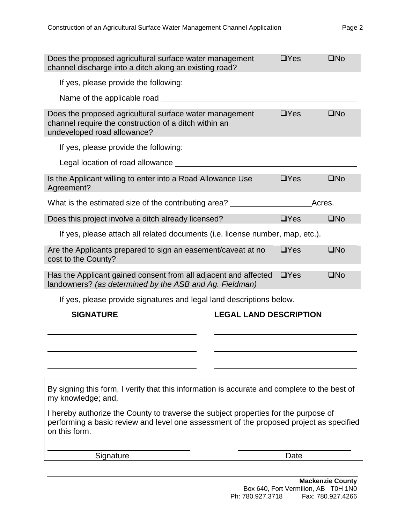| If yes, please provide the following:<br>Name of the applicable road<br>Does the proposed agricultural surface water management<br>$\square$ No<br>$\Box$ Yes<br>channel require the construction of a ditch within an<br>undeveloped road allowance?<br>If yes, please provide the following:<br>Legal location of road allowance __________<br>Is the Applicant willing to enter into a Road Allowance Use<br>$\square$ No<br>$\Box$ Yes<br>Agreement?<br>What is the estimated size of the contributing area?<br>Acres. |  |
|----------------------------------------------------------------------------------------------------------------------------------------------------------------------------------------------------------------------------------------------------------------------------------------------------------------------------------------------------------------------------------------------------------------------------------------------------------------------------------------------------------------------------|--|
|                                                                                                                                                                                                                                                                                                                                                                                                                                                                                                                            |  |
|                                                                                                                                                                                                                                                                                                                                                                                                                                                                                                                            |  |
|                                                                                                                                                                                                                                                                                                                                                                                                                                                                                                                            |  |
|                                                                                                                                                                                                                                                                                                                                                                                                                                                                                                                            |  |
|                                                                                                                                                                                                                                                                                                                                                                                                                                                                                                                            |  |
|                                                                                                                                                                                                                                                                                                                                                                                                                                                                                                                            |  |
|                                                                                                                                                                                                                                                                                                                                                                                                                                                                                                                            |  |
| $\square$ No<br>Does this project involve a ditch already licensed?<br>$\Box$ Yes                                                                                                                                                                                                                                                                                                                                                                                                                                          |  |
| If yes, please attach all related documents (i.e. license number, map, etc.).                                                                                                                                                                                                                                                                                                                                                                                                                                              |  |
| $\Box$ Yes<br>$\square$ No<br>Are the Applicants prepared to sign an easement/caveat at no<br>cost to the County?                                                                                                                                                                                                                                                                                                                                                                                                          |  |
| Has the Applicant gained consent from all adjacent and affected<br>$\square$ No<br>$\Box$ Yes<br>landowners? (as determined by the ASB and Ag. Fieldman)                                                                                                                                                                                                                                                                                                                                                                   |  |
| If yes, please provide signatures and legal land descriptions below.                                                                                                                                                                                                                                                                                                                                                                                                                                                       |  |
| <b>LEGAL LAND DESCRIPTION</b><br><b>SIGNATURE</b>                                                                                                                                                                                                                                                                                                                                                                                                                                                                          |  |
|                                                                                                                                                                                                                                                                                                                                                                                                                                                                                                                            |  |
|                                                                                                                                                                                                                                                                                                                                                                                                                                                                                                                            |  |
|                                                                                                                                                                                                                                                                                                                                                                                                                                                                                                                            |  |
| By signing this form, I verify that this information is accurate and complete to the best of<br>my knowledge; and,                                                                                                                                                                                                                                                                                                                                                                                                         |  |
| I hereby authorize the County to traverse the subject properties for the purpose of<br>performing a basic review and level one assessment of the proposed project as specified<br>on this form.                                                                                                                                                                                                                                                                                                                            |  |
| Date<br>Signature                                                                                                                                                                                                                                                                                                                                                                                                                                                                                                          |  |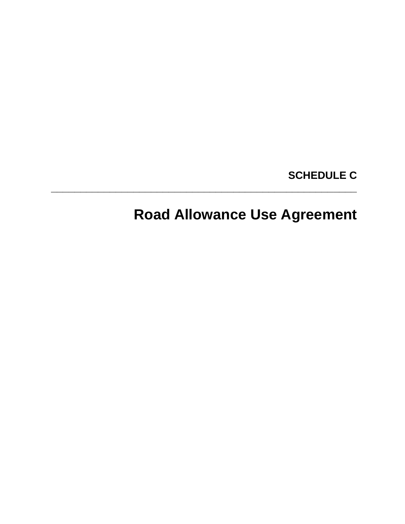# **SCHEDULE C**

# **Road Allowance Use Agreement**

**\_\_\_\_\_\_\_\_\_\_\_\_\_\_\_\_\_\_\_\_\_\_\_\_\_\_\_\_\_\_\_\_\_\_\_\_\_\_\_\_\_\_\_\_\_\_\_\_\_\_\_\_**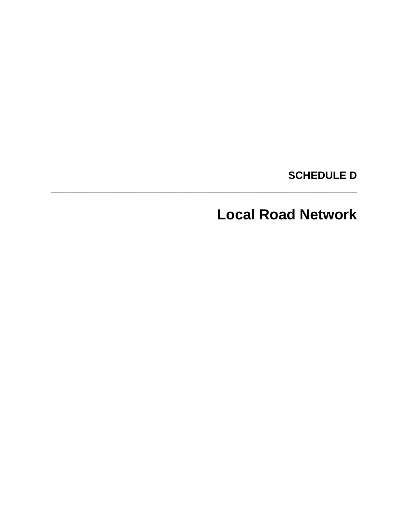# **SCHEDULE D**

# **Local Road Network**

**\_\_\_\_\_\_\_\_\_\_\_\_\_\_\_\_\_\_\_\_\_\_\_\_\_\_\_\_\_\_\_\_\_\_\_\_\_\_\_\_\_\_\_\_\_\_\_\_\_\_\_\_**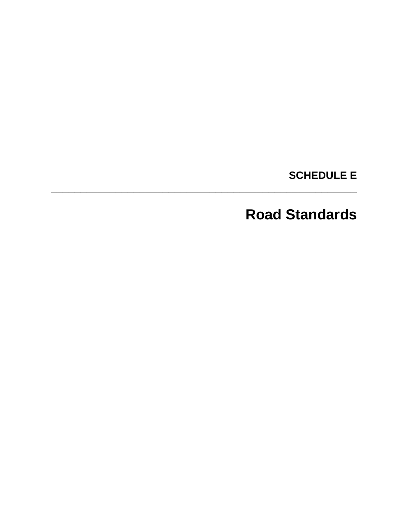**SCHEDULE E** 

# **Road Standards**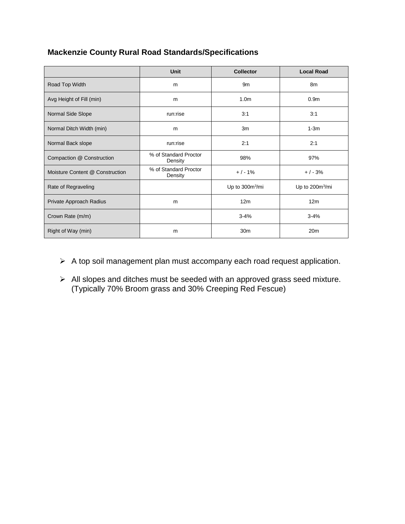## **Mackenzie County Rural Road Standards/Specifications**

|                                 | <b>Unit</b>                      | <b>Collector</b>            | <b>Local Road</b>           |  |
|---------------------------------|----------------------------------|-----------------------------|-----------------------------|--|
| Road Top Width                  | m                                |                             | 8m                          |  |
| Avg Height of Fill (min)        | m                                | 1.0 <sub>m</sub>            | 0.9 <sub>m</sub>            |  |
| Normal Side Slope               | run:rise                         | 3:1                         | 3:1                         |  |
| Normal Ditch Width (min)        | m                                | 3m                          | $1-3m$                      |  |
| Normal Back slope               | run:rise                         | 2:1                         | 2:1                         |  |
| Compaction @ Construction       | % of Standard Proctor<br>Density |                             | 97%                         |  |
| Moisture Content @ Construction | % of Standard Proctor<br>Density | $+/-1%$                     | $+/-3%$                     |  |
| Rate of Regraveling             |                                  | Up to 300m <sup>3</sup> /mi | Up to 200m <sup>3</sup> /mi |  |
| Private Approach Radius         | m                                | 12m                         | 12m                         |  |
| Crown Rate (m/m)                |                                  | $3 - 4%$                    | $3 - 4%$                    |  |
| Right of Way (min)              | m                                | 30 <sub>m</sub>             | 20 <sub>m</sub>             |  |

- $\triangleright$  A top soil management plan must accompany each road request application.
- $\triangleright$  All slopes and ditches must be seeded with an approved grass seed mixture. (Typically 70% Broom grass and 30% Creeping Red Fescue)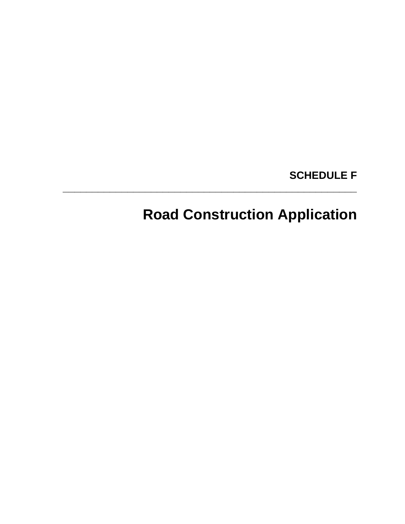# **SCHEDULE F**

# **Road Construction Application**

**\_\_\_\_\_\_\_\_\_\_\_\_\_\_\_\_\_\_\_\_\_\_\_\_\_\_\_\_\_\_\_\_\_\_\_\_\_\_\_\_\_\_\_\_\_\_\_\_\_\_**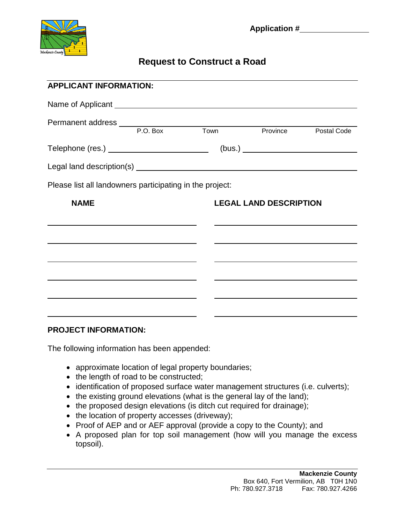

## **Request to Construct a Road**

| <b>APPLICANT INFORMATION:</b>                            |                                                        |  |                               |  |  |  |  |
|----------------------------------------------------------|--------------------------------------------------------|--|-------------------------------|--|--|--|--|
|                                                          |                                                        |  |                               |  |  |  |  |
|                                                          |                                                        |  | <b>Province</b> Postal Code   |  |  |  |  |
|                                                          | (bus.)<br>Telephone (res.) ___________________________ |  |                               |  |  |  |  |
|                                                          |                                                        |  |                               |  |  |  |  |
| Please list all landowners participating in the project: |                                                        |  |                               |  |  |  |  |
| <b>NAME</b>                                              |                                                        |  | <b>LEGAL LAND DESCRIPTION</b> |  |  |  |  |
|                                                          |                                                        |  |                               |  |  |  |  |
|                                                          | <u> 1989 - Johann Stein, mars et al. (b. 1989)</u>     |  |                               |  |  |  |  |
|                                                          |                                                        |  |                               |  |  |  |  |
|                                                          |                                                        |  |                               |  |  |  |  |
|                                                          |                                                        |  |                               |  |  |  |  |
|                                                          |                                                        |  |                               |  |  |  |  |

### **PROJECT INFORMATION:**

The following information has been appended:

- approximate location of legal property boundaries;
- the length of road to be constructed;
- identification of proposed surface water management structures (i.e. culverts);
- the existing ground elevations (what is the general lay of the land);
- the proposed design elevations (is ditch cut required for drainage);
- the location of property accesses (driveway);
- Proof of AEP and or AEF approval (provide a copy to the County); and
- A proposed plan for top soil management (how will you manage the excess topsoil).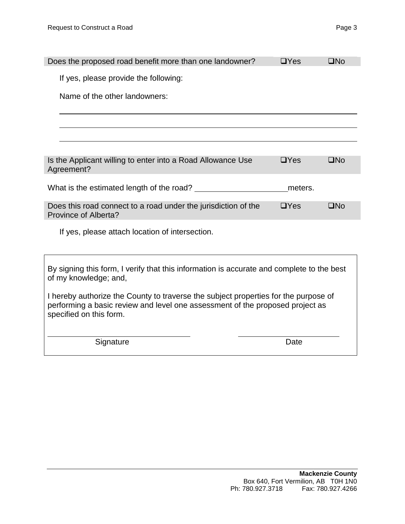| Does the proposed road benefit more than one landowner?                                                                                                                                         | $\Box$ Yes | $\square$ No |
|-------------------------------------------------------------------------------------------------------------------------------------------------------------------------------------------------|------------|--------------|
| If yes, please provide the following:                                                                                                                                                           |            |              |
| Name of the other landowners:                                                                                                                                                                   |            |              |
|                                                                                                                                                                                                 |            |              |
|                                                                                                                                                                                                 |            |              |
| Is the Applicant willing to enter into a Road Allowance Use<br>Agreement?                                                                                                                       | $\Box$ Yes | $\square$ No |
| What is the estimated length of the road?                                                                                                                                                       | meters.    |              |
| Does this road connect to a road under the jurisdiction of the<br>Province of Alberta?                                                                                                          | $\Box$ Yes | $\square$ No |
| If yes, please attach location of intersection.                                                                                                                                                 |            |              |
| By signing this form, I verify that this information is accurate and complete to the best<br>of my knowledge; and,                                                                              |            |              |
| I hereby authorize the County to traverse the subject properties for the purpose of<br>performing a basic review and level one assessment of the proposed project as<br>specified on this form. |            |              |
| Signature                                                                                                                                                                                       | Date       |              |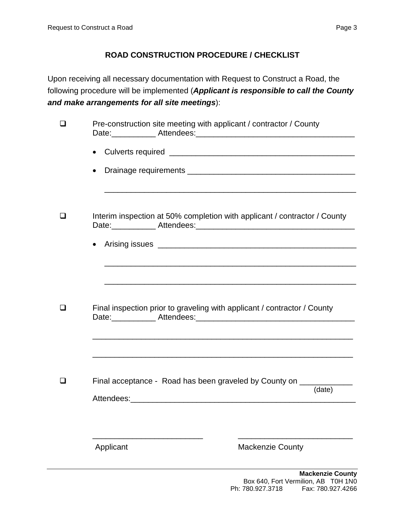## **ROAD CONSTRUCTION PROCEDURE / CHECKLIST**

Upon receiving all necessary documentation with Request to Construct a Road, the following procedure will be implemented (*Applicant is responsible to call the County and make arrangements for all site meetings*):

| l 1    | Pre-construction site meeting with applicant / contractor / County        |                         |  |  |  |  |
|--------|---------------------------------------------------------------------------|-------------------------|--|--|--|--|
|        | $\bullet$                                                                 |                         |  |  |  |  |
|        | $\bullet$                                                                 |                         |  |  |  |  |
|        |                                                                           |                         |  |  |  |  |
| $\Box$ | Interim inspection at 50% completion with applicant / contractor / County |                         |  |  |  |  |
|        |                                                                           |                         |  |  |  |  |
|        |                                                                           |                         |  |  |  |  |
|        |                                                                           |                         |  |  |  |  |
| П      | Final inspection prior to graveling with applicant / contractor / County  |                         |  |  |  |  |
|        |                                                                           |                         |  |  |  |  |
| $\Box$ | Final acceptance - Road has been graveled by County on _____________      |                         |  |  |  |  |
|        |                                                                           | (date)                  |  |  |  |  |
|        |                                                                           |                         |  |  |  |  |
|        | Applicant                                                                 | <b>Mackenzie County</b> |  |  |  |  |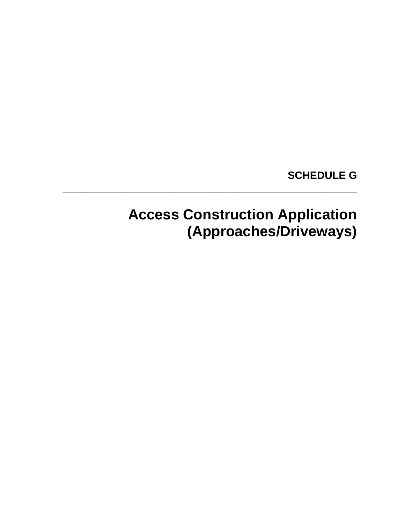## **SCHEDULE G**

# **Access Construction Application (Approaches/Driveways)**

**\_\_\_\_\_\_\_\_\_\_\_\_\_\_\_\_\_\_\_\_\_\_\_\_\_\_\_\_\_\_\_\_\_\_\_\_\_\_\_\_\_\_\_\_\_\_\_\_\_\_**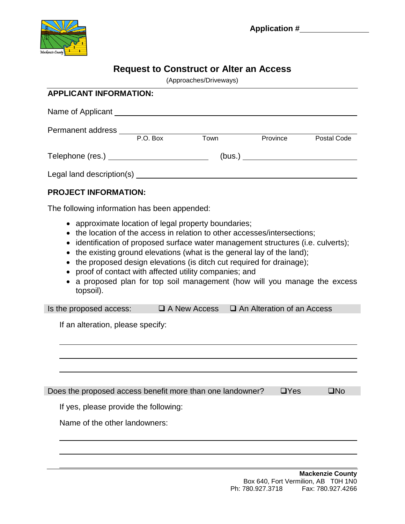

## **Request to Construct or Alter an Access**

(Approaches/Driveways)

| Name of Applicant Name of Applicant       |          |      |          |             |
|-------------------------------------------|----------|------|----------|-------------|
| Permanent address                         |          |      |          |             |
|                                           | P.O. Box | Town | Province | Postal Code |
| Telephone (res.) ________________________ | (bus.)   |      |          |             |
| Legal land description(s)                 |          |      |          |             |

### **PROJECT INFORMATION:**

The following information has been appended:

- approximate location of legal property boundaries;
- the location of the access in relation to other accesses/intersections;
- identification of proposed surface water management structures (i.e. culverts);
- the existing ground elevations (what is the general lay of the land);
- the proposed design elevations (is ditch cut required for drainage);
- proof of contact with affected utility companies; and
- a proposed plan for top soil management (how will you manage the excess topsoil).

| Is the proposed access: | $\Box$ A New Access | $\Box$ An Alteration of an Access |
|-------------------------|---------------------|-----------------------------------|
|-------------------------|---------------------|-----------------------------------|

If an alteration, please specify:

| Does the proposed access benefit more than one landowner? $\square$ Yes | I □No |
|-------------------------------------------------------------------------|-------|
|                                                                         |       |

If yes, please provide the following:

Name of the other landowners: